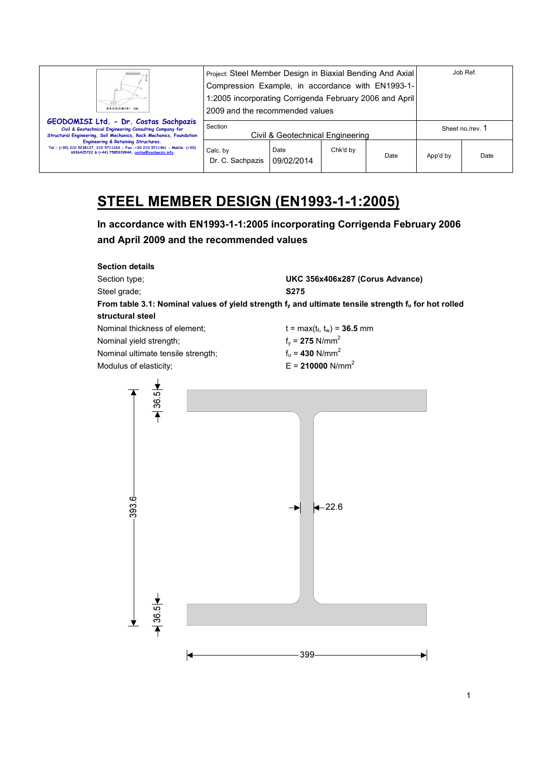| <b>GEODOMISI Ltd</b>                                                                                                                                                       | Project: Steel Member Design in Biaxial Bending And Axial<br>Compression Example, in accordance with EN1993-1-<br>1:2005 incorporating Corrigenda February 2006 and April<br>2009 and the recommended values |                    |          |      | Job Ref.         |      |
|----------------------------------------------------------------------------------------------------------------------------------------------------------------------------|--------------------------------------------------------------------------------------------------------------------------------------------------------------------------------------------------------------|--------------------|----------|------|------------------|------|
| GEODOMISI Ltd. - Dr. Costas Sachpazis<br>Civil & Geotechnical Engineering Consulting Company for<br>Structural Engineering, Soil Mechanics, Rock Mechanics, Foundation     | Section<br>Civil & Geotechnical Engineering                                                                                                                                                                  |                    |          |      | Sheet no./rev. 1 |      |
| Engineering & Retaining Structures.<br>Tel.: (+30) 210 5238127, 210 5711263 - Fax.:+30 210 5711461 - Mobile: (+30)<br>6936425722 & (+44) 7585939944, costas@sachpazis.info | Calc. by<br>Dr. C. Sachpazis                                                                                                                                                                                 | Date<br>09/02/2014 | Chk'd by | Date | App'd by         | Date |

# **STEEL MEMBER DESIGN (EN1993-1-1:2005)**

**In accordance with EN1993-1-1:2005 incorporating Corrigenda February 2006 and April 2009 and the recommended values** 

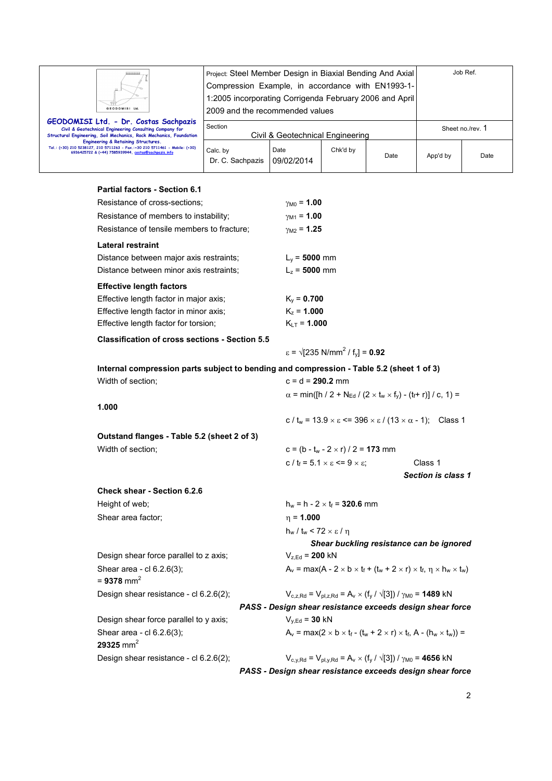| GEODOMISI Ltd.                                                                                                                                                             | Project: Steel Member Design in Biaxial Bending And Axial<br>Compression Example, in accordance with EN1993-1-<br>1:2005 incorporating Corrigenda February 2006 and April<br>2009 and the recommended values |                    |          |      | Job Ref.         |      |
|----------------------------------------------------------------------------------------------------------------------------------------------------------------------------|--------------------------------------------------------------------------------------------------------------------------------------------------------------------------------------------------------------|--------------------|----------|------|------------------|------|
| GEODOMISI Ltd. - Dr. Costas Sachpazis<br>Civil & Geotechnical Engineering Consulting Company for<br>Structural Engineering, Soil Mechanics, Rock Mechanics, Foundation     | Section<br>Civil & Geotechnical Engineering                                                                                                                                                                  |                    |          |      | Sheet no./rev. 1 |      |
| Engineering & Retaining Structures.<br>Tel.: (+30) 210 5238127, 210 5711263 - Fax.:+30 210 5711461 - Mobile: (+30)<br>6936425722 & (+44) 7585939944, costas@sachpazis.info | Calc. by<br>Dr. C. Sachpazis                                                                                                                                                                                 | Date<br>09/02/2014 | Chk'd by | Date | App'd by         | Date |

# **Partial factors - Section 6.1**

| Resistance of cross-sections;                                                            | $\gamma_{\rm M0}$ = 1.00                                                                                           |
|------------------------------------------------------------------------------------------|--------------------------------------------------------------------------------------------------------------------|
| Resistance of members to instability;                                                    | $\gamma_{\rm M1} = 1.00$                                                                                           |
| Resistance of tensile members to fracture;                                               | $\gamma_{\rm M2}$ = 1.25                                                                                           |
| Lateral restraint                                                                        |                                                                                                                    |
| Distance between major axis restraints;                                                  | $L_v = 5000$ mm                                                                                                    |
| Distance between minor axis restraints;                                                  | $L_z = 5000$ mm                                                                                                    |
| <b>Effective length factors</b>                                                          |                                                                                                                    |
| Effective length factor in major axis;                                                   | $K_v = 0.700$                                                                                                      |
| Effective length factor in minor axis;                                                   | $K_z = 1.000$                                                                                                      |
| Effective length factor for torsion;                                                     | $K_{LT} = 1.000$                                                                                                   |
| <b>Classification of cross sections - Section 5.5</b>                                    |                                                                                                                    |
|                                                                                          | $\varepsilon = \sqrt{235} \text{ N/mm}^2 / \text{ f}_v = 0.92$                                                     |
| Internal compression parts subject to bending and compression - Table 5.2 (sheet 1 of 3) |                                                                                                                    |
| Width of section;                                                                        | $c = d = 290.2$ mm                                                                                                 |
|                                                                                          | $\alpha$ = min([h / 2 + N <sub>Ed</sub> / (2 × t <sub>w</sub> × f <sub>y</sub> ) - (t <sub>f</sub> + r)] / c, 1) = |
| 1.000                                                                                    |                                                                                                                    |
|                                                                                          | c / t <sub>w</sub> = $13.9 \times \epsilon$ <= $396 \times \epsilon$ / $(13 \times \alpha - 1)$ ; Class 1          |
| Outstand flanges - Table 5.2 (sheet 2 of 3)                                              |                                                                                                                    |
| Width of section;                                                                        | $c = (b - t_w - 2 \times r) / 2 = 173$ mm                                                                          |
|                                                                                          | c / $t_f = 5.1 \times \varepsilon \le 9 \times \varepsilon$ ;<br>Class 1                                           |
|                                                                                          | <b>Section is class 1</b>                                                                                          |
| <b>Check shear - Section 6.2.6</b>                                                       |                                                                                                                    |
| Height of web;                                                                           | $h_w = h - 2 \times t_f = 320.6$ mm                                                                                |
| Shear area factor;                                                                       | $\eta = 1.000$                                                                                                     |
|                                                                                          | $h_w / t_w$ < 72 $\times \varepsilon / \eta$                                                                       |
|                                                                                          | Shear buckling resistance can be ignored                                                                           |
| Design shear force parallel to z axis;                                                   | $V_{z,Ed} = 200$ kN                                                                                                |
| Shear area - cl 6.2.6(3);                                                                | $A_v = max(A - 2 \times b \times t_f + (t_w + 2 \times r) \times t_f, \eta \times h_w \times t_w)$                 |
| = 9378 mm <sup>2</sup>                                                                   |                                                                                                                    |
| Design shear resistance - cl 6.2.6(2);                                                   | $V_{c,z,Rd} = V_{pl,z,Rd} = A_v \times (f_v / \sqrt{3}) / \gamma_{M0} = 1489$ kN                                   |
|                                                                                          | PASS - Design shear resistance exceeds design shear force                                                          |
| Design shear force parallel to y axis;                                                   | $V_{y,Ed} = 30$ kN                                                                                                 |
| Shear area - cl 6.2.6(3);<br>29325 mm <sup>2</sup>                                       | $A_v = max(2 \times b \times t_f - (t_w + 2 \times r) \times t_f, A - (h_w \times t_w)) =$                         |
| Design shear resistance - cl 6.2.6(2);                                                   | $V_{c,y,Rd} = V_{pl,y,Rd} = A_v \times (f_y / \sqrt{3}) / \gamma_{M0} = 4656$ kN                                   |
|                                                                                          | PASS - Design shear resistance exceeds design shear force                                                          |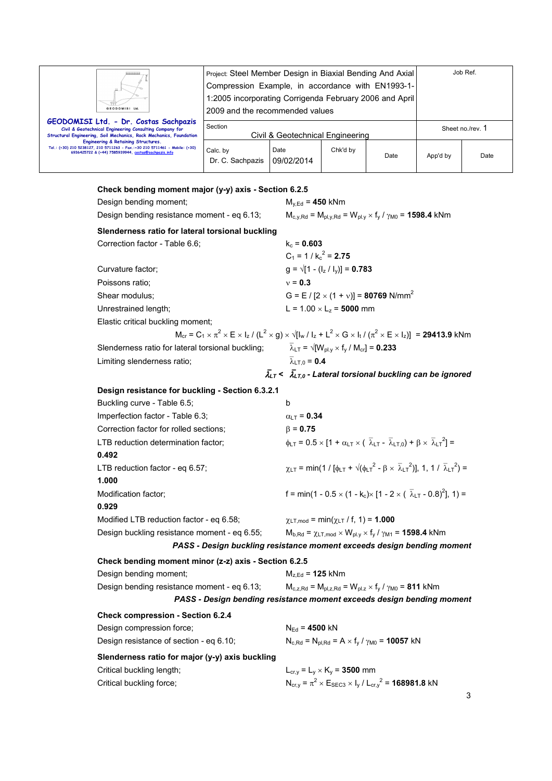| GEODOMISI Ltd.                                                                                                                                                             | Project: Steel Member Design in Biaxial Bending And Axial<br>Compression Example, in accordance with EN1993-1-<br>1:2005 incorporating Corrigenda February 2006 and April<br>2009 and the recommended values |                    |          |      |                  | Job Ref. |
|----------------------------------------------------------------------------------------------------------------------------------------------------------------------------|--------------------------------------------------------------------------------------------------------------------------------------------------------------------------------------------------------------|--------------------|----------|------|------------------|----------|
| GEODOMISI Ltd. - Dr. Costas Sachpazis<br>Civil & Geotechnical Engineering Consulting Company for<br>Structural Engineering, Soil Mechanics, Rock Mechanics, Foundation     | Section<br>Civil & Geotechnical Engineering                                                                                                                                                                  |                    |          |      | Sheet no./rev. 1 |          |
| Engineering & Retaining Structures.<br>Tel.: (+30) 210 5238127, 210 5711263 - Fax.:+30 210 5711461 - Mobile: (+30)<br>6936425722 & (+44) 7585939944, costas@sachpazis.info | Calc. by<br>Dr. C. Sachpazis                                                                                                                                                                                 | Date<br>09/02/2014 | Chk'd by | Date | App'd by         | Date     |

# **Check bending moment major (y-y) axis - Section 6.2.5**

| Design bending moment;                                | $M_{y,Ed} = 450$ kNm                                                                                                                                             |
|-------------------------------------------------------|------------------------------------------------------------------------------------------------------------------------------------------------------------------|
| Design bending resistance moment - eq 6.13;           | $M_{c,y,Rd} = M_{pl,y,Rd} = W_{pl,y} \times f_y / \gamma_{M0} = 1598.4$ kNm                                                                                      |
| Slenderness ratio for lateral torsional buckling      |                                                                                                                                                                  |
| Correction factor - Table 6.6;                        | $k_c = 0.603$                                                                                                                                                    |
|                                                       | $C_1 = 1 / k_c^2 = 2.75$                                                                                                                                         |
| Curvature factor;                                     | $g = \sqrt{1 - (l_z / l_y)} = 0.783$                                                                                                                             |
| Poissons ratio;                                       | $v = 0.3$                                                                                                                                                        |
| Shear modulus:                                        | G = E / [2 $\times$ (1 + v)] = 80769 N/mm <sup>2</sup>                                                                                                           |
| Unrestrained length;                                  | $L = 1.00 \times L_z = 5000$ mm                                                                                                                                  |
| Elastic critical buckling moment;                     |                                                                                                                                                                  |
|                                                       | $M_{cr} = C_1 \times \pi^2 \times E \times I_z / (L^2 \times g) \times \sqrt{I_{w} / I_z + L^2 \times G \times I_t / (\pi^2 \times E \times I_z)}$ = 29413.9 kNm |
| Slenderness ratio for lateral torsional buckling;     | $\overline{\lambda}_{LT}$ = $\sqrt{W_{\text{pl.v}}} \times f_{\text{v}} / M_{\text{cr}}$ = 0.233                                                                 |
| Limiting slenderness ratio;                           | $\overline{\lambda}_{LT,0} = 0.4$                                                                                                                                |
|                                                       | $\bar{\lambda}_{LT}$ < $\bar{\lambda}_{LT,0}$ - Lateral torsional buckling can be ignored                                                                        |
| Design resistance for buckling - Section 6.3.2.1      |                                                                                                                                                                  |
| Buckling curve - Table 6.5;                           | b                                                                                                                                                                |
| Imperfection factor - Table 6.3;                      | $\alpha_{LT}$ = 0.34                                                                                                                                             |
| Correction factor for rolled sections;                | $\beta = 0.75$                                                                                                                                                   |
| LTB reduction determination factor;                   | $\phi_{LT} = 0.5 \times [1 + \alpha_{LT} \times (\overline{\lambda}_{LT} - \overline{\lambda}_{LT,0}) + \beta \times \overline{\lambda}_{LT}^2] =$               |
| 0.492                                                 |                                                                                                                                                                  |
| LTB reduction factor - eq 6.57;<br>1.000              | $\chi_{LT}$ = min(1 / $[\phi_{LT} + \sqrt{(\phi_{LT}^2 - \beta \times \bar{\lambda}_1 \tau^2)}]$ , 1, 1 / $\bar{\lambda}_1 \tau^2$ ) =                           |
| Modification factor;                                  | f = min(1 - 0.5 $\times$ (1 - k <sub>c</sub> ) $\times$ [1 - 2 $\times$ ( $\overline{\lambda}_{LT}$ - 0.8) <sup>2</sup> ], 1) =                                  |
| 0.929                                                 |                                                                                                                                                                  |
| Modified LTB reduction factor - eq 6.58;              | $\chi$ LT, mod = min( $\chi$ LT / f, 1) = <b>1.000</b>                                                                                                           |
| Design buckling resistance moment - eq 6.55;          | $M_{b, Rd} = \chi_{LT, mod} \times W_{pl.y} \times f_y / \gamma_{M1} = 1598.4$ kNm                                                                               |
|                                                       | PASS - Design buckling resistance moment exceeds design bending moment                                                                                           |
| Check bending moment minor (z-z) axis - Section 6.2.5 |                                                                                                                                                                  |
| Design bending moment;                                | $M_{z,Ed}$ = 125 kNm                                                                                                                                             |
| Design bending resistance moment - eq 6.13;           | $M_{c,z, Rd} = M_{pl,z, Rd} = W_{pl,z} \times f_y / \gamma_{M0} = 811$ kNm                                                                                       |
|                                                       | PASS - Design bending resistance moment exceeds design bending moment                                                                                            |
| <b>Check compression - Section 6.2.4</b>              |                                                                                                                                                                  |
| Design compression force;                             | $N_{Ed} = 4500$ kN                                                                                                                                               |
| Design resistance of section - eq 6.10;               | $N_{c,Rd} = N_{pl,Rd} = A \times f_v / \gamma_{M0} = 10057$ kN                                                                                                   |
| Slenderness ratio for major (y-y) axis buckling       |                                                                                                                                                                  |
| Critical buckling length;                             | $L_{cr,v} = L_y \times K_y = 3500$ mm                                                                                                                            |
| Critical buckling force;                              | $N_{cr,y} = \pi^2 \times E_{SEC3} \times I_y / L_{cr,y}^2 = 168981.8$ kN                                                                                         |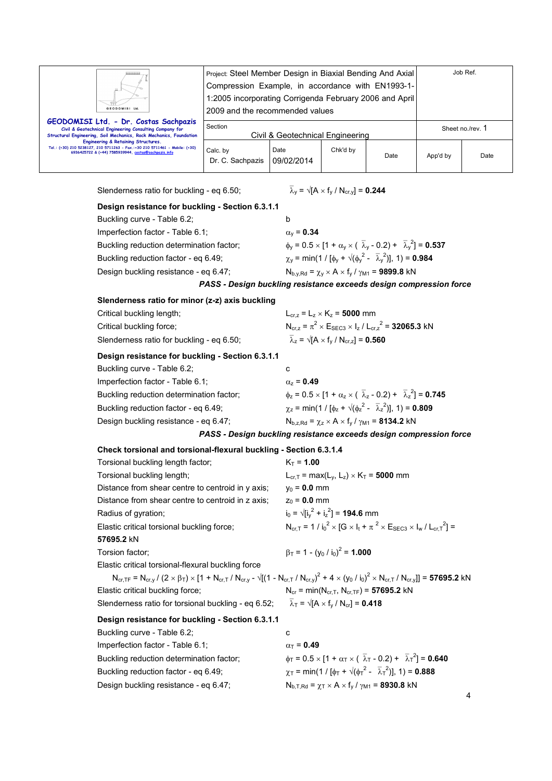| GEODOMISI Ltd.                                                                                                                                                             | Project: Steel Member Design in Biaxial Bending And Axial<br>Compression Example, in accordance with EN1993-1-<br>1:2005 incorporating Corrigenda February 2006 and April<br>2009 and the recommended values |                    |          |      |                  | Job Ref. |  |
|----------------------------------------------------------------------------------------------------------------------------------------------------------------------------|--------------------------------------------------------------------------------------------------------------------------------------------------------------------------------------------------------------|--------------------|----------|------|------------------|----------|--|
| GEODOMISI Ltd. - Dr. Costas Sachpazis<br>Civil & Geotechnical Engineering Consulting Company for<br>Structural Engineering, Soil Mechanics, Rock Mechanics, Foundation     | Section<br>Civil & Geotechnical Engineering                                                                                                                                                                  |                    |          |      | Sheet no./rev. 1 |          |  |
| Engineering & Retaining Structures.<br>Tel.: (+30) 210 5238127, 210 5711263 - Fax.:+30 210 5711461 - Mobile: (+30)<br>6936425722 & (+44) 7585939944, costas@sachpazis.info | Calc. by<br>Dr. C. Sachpazis                                                                                                                                                                                 | Date<br>09/02/2014 | Chk'd by | Date | App'd by         | Date     |  |

Slenderness ratio for buckling - eq 6.50;

$$
\overline{\lambda}_{y} = \sqrt{[A \times f_{y} / N_{cr,y}]} = 0.244
$$

# **Design resistance for buckling - Section 6.3.1.1**

| Buckling curve - Table 6.2;              | b                                                                                                             |
|------------------------------------------|---------------------------------------------------------------------------------------------------------------|
| Imperfection factor - Table 6.1;         | $\alpha_{v}$ = 0.34                                                                                           |
| Buckling reduction determination factor; | $\phi_v = 0.5 \times [1 + \alpha_v \times (\overline{\lambda}_v - 0.2) + \overline{\lambda}_v^2] = 0.537$     |
| Buckling reduction factor - eq 6.49;     | $\chi_{\rm V}$ = min(1 / [ $\phi_{\rm V}$ + $\sqrt{(\phi_{\rm V}^2 - \bar{\lambda}_{\rm V}^2)}$ ], 1) = 0.984 |
| Design buckling resistance - eq 6.47;    | $N_{b,v, Rd} = \chi_v \times A \times f_v / \gamma_{M1} = 9899.8$ kN                                          |
|                                          | PASS - Design buckling resistance exceeds design compression force                                            |

#### **Slenderness ratio for minor (z-z) axis buckling**

| Critical buckling length;                        | $L_{cr,z} = L_z \times K_z = 5000$ mm                                                                     |
|--------------------------------------------------|-----------------------------------------------------------------------------------------------------------|
| Critical buckling force;                         | $N_{\text{crz}} = \pi^2 \times E_{\text{SEC3}} \times I_z / L_{\text{crz}}^2 = 32065.3$ kN                |
| Slenderness ratio for buckling - eq 6.50;        | $\overline{\lambda}_z = \sqrt{A \times f_v / N_{cr,z}} = 0.560$                                           |
| Design resistance for buckling - Section 6.3.1.1 |                                                                                                           |
| Buckling curve - Table 6.2;                      | c                                                                                                         |
| Imperfection factor - Table 6.1;                 | $\alpha_z = 0.49$                                                                                         |
| Buckling reduction determination factor;         | $\phi_z = 0.5 \times [1 + \alpha_z \times (\overline{\lambda}_z - 0.2) + \overline{\lambda}_z^2] = 0.745$ |
| Buckling reduction factor - eq 6.49;             | $\chi_z$ = min(1 / $\left[\phi_z + \sqrt{\phi_z^2 - \bar{\lambda}_z^2}\right]$ , 1) = 0.809               |
| Design buckling resistance - eq 6.47;            | $N_{b.z.Rd} = \gamma_z \times A \times f_v / \gamma_{M1} = 8134.2$ kN                                     |

## *PASS - Design buckling resistance exceeds design compression force*

## **Check torsional and torsional-flexural buckling - Section 6.3.1.4**

| Torsional buckling length factor;                                                                                     | $K_T = 1.00$                                                                                                                                                                                                                                 |
|-----------------------------------------------------------------------------------------------------------------------|----------------------------------------------------------------------------------------------------------------------------------------------------------------------------------------------------------------------------------------------|
| Torsional buckling length;                                                                                            | $L_{cr,T}$ = max( $L_v$ , $L_z$ ) × K <sub>T</sub> = 5000 mm                                                                                                                                                                                 |
| Distance from shear centre to centroid in y axis;                                                                     | $y_0 = 0.0$ mm                                                                                                                                                                                                                               |
| Distance from shear centre to centroid in z axis;                                                                     | $z_0 = 0.0$ mm                                                                                                                                                                                                                               |
| Radius of gyration;                                                                                                   | $i_0 = \sqrt{[i_v^2 + i_z^2]} = 194.6$ mm                                                                                                                                                                                                    |
| Elastic critical torsional buckling force;                                                                            | $N_{\text{ccl}} = 1 / i_0^2 \times [G \times I_t + \pi^2 \times E_{\text{SEC3}} \times I_w / L_{\text{ccl}}^2] =$                                                                                                                            |
| 57695.2 kN                                                                                                            |                                                                                                                                                                                                                                              |
| Torsion factor;                                                                                                       | $\beta_T = 1 - (y_0 / i_0)^2 = 1.000$                                                                                                                                                                                                        |
| Elastic critical torsional-flexural buckling force                                                                    |                                                                                                                                                                                                                                              |
|                                                                                                                       | $N_{\text{cr,TF}} = N_{\text{cr,}y}/(2 \times \beta_T) \times [1 + N_{\text{cr,}T}/N_{\text{cr,}y} - \sqrt{[(1 - N_{\text{cr,}T}/N_{\text{cr,}y})^2 + 4 \times (y_0 / i_0)^2 \times N_{\text{cr,}T}/N_{\text{cr,}y}]]} = 57695.2 \text{ kN}$ |
| Elastic critical buckling force;                                                                                      | $N_{cr}$ = min( $N_{cr,T}$ , $N_{cr,TF}$ ) = 57695.2 kN                                                                                                                                                                                      |
| Slenderness ratio for torsional buckling - eq 6.52; $\overline{\lambda}_{T} = \sqrt{A} \times f_{v} / N_{cr}$ = 0.418 |                                                                                                                                                                                                                                              |
| Design resistance for buckling - Section 6.3.1.1                                                                      |                                                                                                                                                                                                                                              |
| Buckling curve - Table 6.2;                                                                                           | C                                                                                                                                                                                                                                            |
| Imperfection factor - Table 6.1;                                                                                      | $\alpha_{\rm T} = 0.49$                                                                                                                                                                                                                      |
| Buckling reduction determination factor;                                                                              | $\phi_T = 0.5 \times [1 + \alpha_T \times (\overline{\lambda}_T - 0.2) + \overline{\lambda}_T^2] = 0.640$                                                                                                                                    |
| Buckling reduction factor - eq 6.49;                                                                                  | $\gamma_{\text{T}}$ = min(1 / [ $\phi_{\text{T}}$ + $\sqrt{(\phi_{\text{T}}^2 - \bar{\lambda}_{\text{T}}^2)}$ ], 1) = 0.888                                                                                                                  |
| Design buckling resistance - eq 6.47;                                                                                 | $N_{b,T,Rd} = \chi_T \times A \times f_V / \gamma_{M1} = 8930.8$ kN                                                                                                                                                                          |